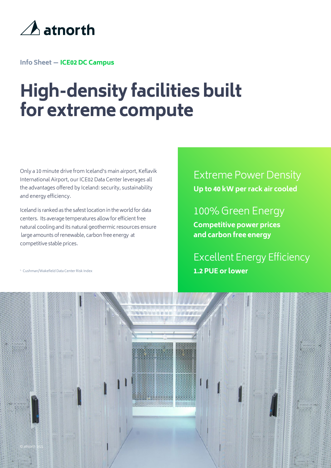

**Info Sheet — ICE02 DC Campus**

# **High-density facilities built for extreme compute**

Only a 10 minute drive from Iceland's main airport, Keflavik International Airport, our ICE02 Data Center leverages all the advantages offered by Iceland: security, sustainability and energy efficiency.

Iceland is ranked as the safest location in the world for data centers. Its average temperatures allow for efficient free natural cooling and its natural geothermic resources ensure large amounts of renewable, carbon free energy at competitive stable prices.

<sup>1.</sup> Cushman/Wakefield Data Center Risk Index

### Extreme Power Density

**Up to 40 kW per rack air cooled**

#### 100% Green Energy

**Competitive power prices and carbon free energy**

Excellent Energy Efficiency **1.2 PUE or lower**